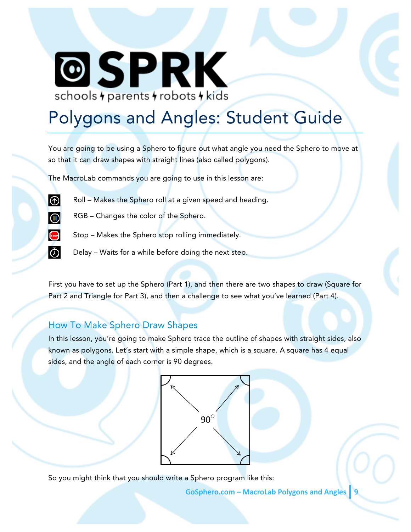# **@SPRK** schools + parents + robots + kids

# Polygons and Angles: Student Guide

You are going to be using a Sphero to figure out what angle you need the Sphero to move at so that it can draw shapes with straight lines (also called polygons).

The MacroLab commands you are going to use in this lesson are:



- Roll Makes the Sphero roll at a given speed and heading.
- $\circledR$
- RGB Changes the color of the Sphero.



- Stop Makes the Sphero stop rolling immediately.
- Ō
- Delay Waits for a while before doing the next step.

First you have to set up the Sphero (Part 1), and then there are two shapes to draw (Square for Part 2 and Triangle for Part 3), and then a challenge to see what you've learned (Part 4).

## How To Make Sphero Draw Shapes

In this lesson, you're going to make Sphero trace the outline of shapes with straight sides, also known as polygons. Let's start with a simple shape, which is a square. A square has 4 equal sides, and the angle of each corner is 90 degrees.



So you might think that you should write a Sphero program like this:

**GoSphero.com – MacroLab Polygons and Angles 9**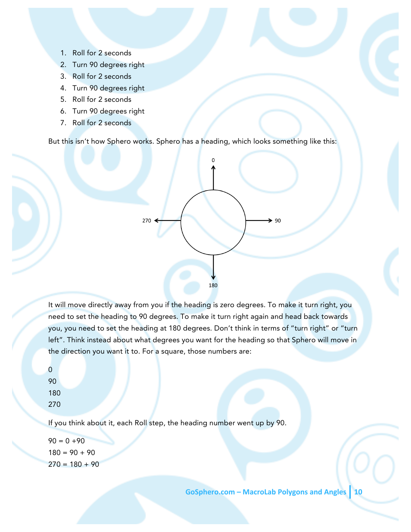- 1. Roll for 2 seconds
- 2. Turn 90 degrees right
- 3. Roll for 2 seconds
- 4. Turn 90 degrees right
- 5. Roll for 2 seconds
- 6. Turn 90 degrees right
- 7. Roll for 2 seconds

But this isn't how Sphero works. Sphero has a heading, which looks something like this:



It will move directly away from you if the heading is zero degrees. To make it turn right, you need to set the heading to 90 degrees. To make it turn right again and head back towards you, you need to set the heading at 180 degrees. Don't think in terms of "turn right" or "turn left". Think instead about what degrees you want for the heading so that Sphero will move in the direction you want it to. For a square, those numbers are:

If you think about it, each Roll step, the heading number went up by 90.

 $90 = 0 + 90$  $180 = 90 + 90$  $270 = 180 + 90$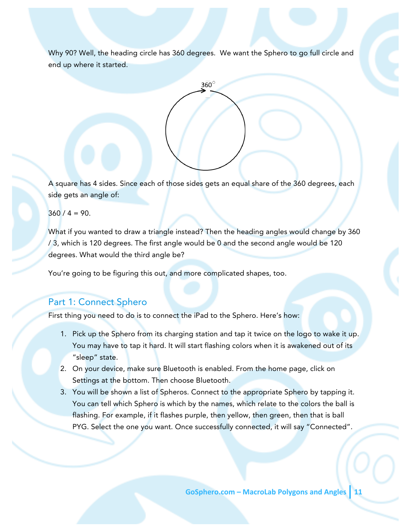Why 90? Well, the heading circle has 360 degrees. We want the Sphero to go full circle and end up where it started.



A square has 4 sides. Since each of those sides gets an equal share of the 360 degrees, each side gets an angle of:

 $360 / 4 = 90.$ 

What if you wanted to draw a triangle instead? Then the heading angles would change by 360 / 3, which is 120 degrees. The first angle would be 0 and the second angle would be 120 degrees. What would the third angle be?

You're going to be figuring this out, and more complicated shapes, too.

#### Part 1: Connect Sphero

First thing you need to do is to connect the iPad to the Sphero. Here's how:

- 1. Pick up the Sphero from its charging station and tap it twice on the logo to wake it up. You may have to tap it hard. It will start flashing colors when it is awakened out of its "sleep" state.
- 2. On your device, make sure Bluetooth is enabled. From the home page, click on Settings at the bottom. Then choose Bluetooth.
- 3. You will be shown a list of Spheros. Connect to the appropriate Sphero by tapping it. You can tell which Sphero is which by the names, which relate to the colors the ball is flashing. For example, if it flashes purple, then yellow, then green, then that is ball PYG. Select the one you want. Once successfully connected, it will say "Connected".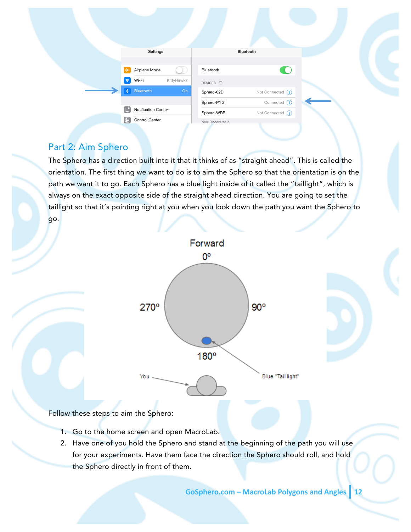| Settings                         |            |                                             | Bluetooth           |
|----------------------------------|------------|---------------------------------------------|---------------------|
| Ą,<br>Airplane Mode              |            | Bluetooth                                   | <b>CO</b>           |
| Wi-Fi<br>$\widehat{\mathcal{F}}$ | KittyHawk2 | DEVICES $\hat{z}_{\alpha\beta}^{M_{\beta}}$ |                     |
| Bluetooth                        | On         | Sphero-02D                                  | Not Connected $(i)$ |
|                                  |            | Sphero-PYG                                  | Connected $(i)$     |
| G<br>Notification Center         |            | Sphero-WRB                                  | Not Connected (i)   |
| 8<br>Control Center              |            | Now Discoverable                            |                     |

### Part 2: Aim Sphero

The Sphero has a direction built into it that it thinks of as "straight ahead". This is called the orientation. The first thing we want to do is to aim the Sphero so that the orientation is on the path we want it to go. Each Sphero has a blue light inside of it called the "taillight", which is always on the exact opposite side of the straight ahead direction. You are going to set the taillight so that it's pointing right at you when you look down the path you want the Sphero to go.



Follow these steps to aim the Sphero:

- 1. Go to the home screen and open MacroLab.
- 2. Have one of you hold the Sphero and stand at the beginning of the path you will use for your experiments. Have them face the direction the Sphero should roll, and hold the Sphero directly in front of them.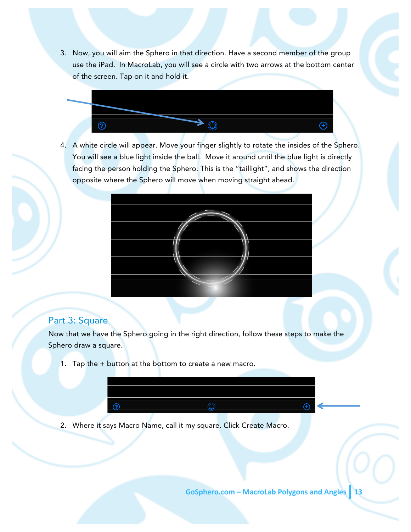3. Now, you will aim the Sphero in that direction. Have a second member of the group use the iPad. In MacroLab, you will see a circle with two arrows at the bottom center of the screen. Tap on it and hold it.



4. A white circle will appear. Move your finger slightly to rotate the insides of the Sphero. You will see a blue light inside the ball. Move it around until the blue light is directly facing the person holding the Sphero. This is the "taillight", and shows the direction opposite where the Sphero will move when moving straight ahead.



#### Part 3: Square

Now that we have the Sphero going in the right direction, follow these steps to make the Sphero draw a square.

1. Tap the + button at the bottom to create a new macro.



2. Where it says Macro Name, call it my square. Click Create Macro.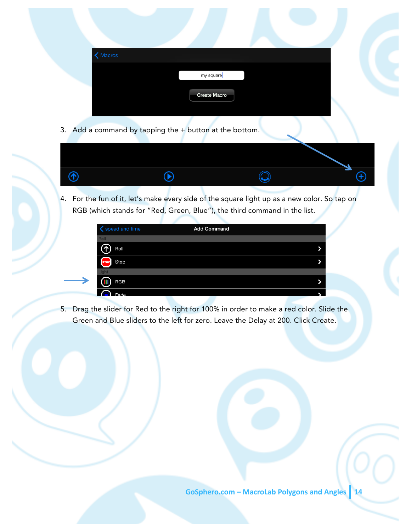| K Macros |                          |  |  |
|----------|--------------------------|--|--|
|          | my square <mark>l</mark> |  |  |
|          | <b>Create Macro</b>      |  |  |
|          |                          |  |  |

3. Add a command by tapping the + button at the bottom.



4. For the fun of it, let's make every side of the square light up as a new color. So tap on RGB (which stands for "Red, Green, Blue"), the third command in the list.

| speed and time      | <b>Add Command</b> |  |
|---------------------|--------------------|--|
| <b>Roll</b>         |                    |  |
| Roll                |                    |  |
| Stop<br><b>STOP</b> |                    |  |
| Light               |                    |  |
| RGB                 |                    |  |
| ᆈ                   |                    |  |

5. Drag the slider for Red to the right for 100% in order to make a red color. Slide the Green and Blue sliders to the left for zero. Leave the Delay at 200. Click Create.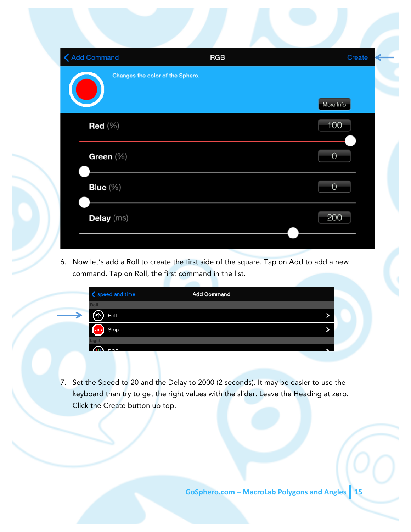| <b>く</b> Add Command             | <b>RGB</b> | Create         |
|----------------------------------|------------|----------------|
| Changes the color of the Sphero. |            | More Info      |
| Red $(\%)$                       |            | 100            |
| Green (%)                        |            | $\overline{O}$ |
| Blue $(\% )$                     |            | $\overline{0}$ |
| Delay (ms)                       |            | 200            |
|                                  |            |                |

6. Now let's add a Roll to create the first side of the square. Tap on Add to add a new command. Tap on Roll, the first command in the list.

| speed and time      | <b>Add Command</b> |  |
|---------------------|--------------------|--|
| <b>Roll</b>         |                    |  |
| Roll                |                    |  |
| Stop<br><b>STOP</b> |                    |  |
|                     |                    |  |
| <b>DCP</b>          |                    |  |

7. Set the Speed to 20 and the Delay to 2000 (2 seconds). It may be easier to use the keyboard than try to get the right values with the slider. Leave the Heading at zero. Click the Create button up top.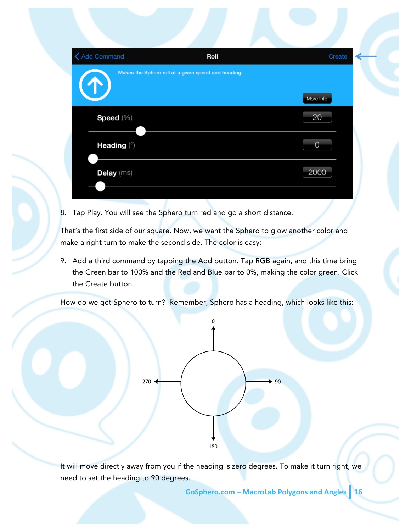| <b>く</b> Add Command | Roll                                                | Create         |
|----------------------|-----------------------------------------------------|----------------|
|                      | Makes the Sphero roll at a given speed and heading. |                |
|                      |                                                     | More Info      |
| Speed (%)            |                                                     | 20             |
| Heading (°)          |                                                     | $\overline{0}$ |
| Delay (ms)           |                                                     | 2000           |
|                      |                                                     |                |

8. Tap Play. You will see the Sphero turn red and go a short distance.

That's the first side of our square. Now, we want the Sphero to glow another color and make a right turn to make the second side. The color is easy:

9. Add a third command by tapping the Add button. Tap RGB again, and this time bring the Green bar to 100% and the Red and Blue bar to 0%, making the color green. Click the Create button.

How do we get Sphero to turn? Remember, Sphero has a heading, which looks like this:



It will move directly away from you if the heading is zero degrees. To make it turn right, we need to set the heading to 90 degrees.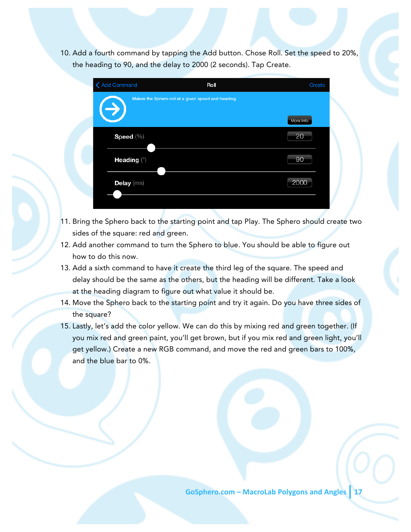10. Add a fourth command by tapping the Add button. Chose Roll. Set the speed to 20%, the heading to 90, and the delay to 2000 (2 seconds). Tap Create.



- 11. Bring the Sphero back to the starting point and tap Play. The Sphero should create two sides of the square: red and green.
- 12. Add another command to turn the Sphero to blue. You should be able to figure out how to do this now.
- 13. Add a sixth command to have it create the third leg of the square. The speed and delay should be the same as the others, but the heading will be different. Take a look at the heading diagram to figure out what value it should be.
- 14. Move the Sphero back to the starting point and try it again. Do you have three sides of the square?
- 15. Lastly, let's add the color yellow. We can do this by mixing red and green together. (If you mix red and green paint, you'll get brown, but if you mix red and green light, you'll get yellow.) Create a new RGB command, and move the red and green bars to 100%, and the blue bar to 0%.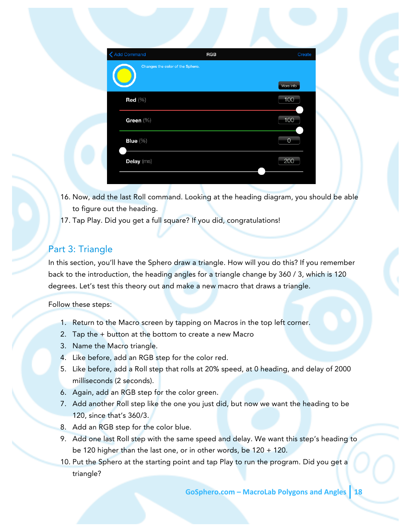| <b>く Add Command</b> | RGB                              | Create         |
|----------------------|----------------------------------|----------------|
|                      | Changes the color of the Sphero. | More Info      |
| Red $(\% )$          |                                  | 100            |
| Green (%)            |                                  | 100            |
| Blue (%)             |                                  | $\overline{0}$ |
| Delay (ms)           |                                  | 200            |
|                      |                                  |                |

- 16. Now, add the last Roll command. Looking at the heading diagram, you should be able to figure out the heading.
- 17. Tap Play. Did you get a full square? If you did, congratulations!

### Part 3: Triangle

In this section, you'll have the Sphero draw a triangle. How will you do this? If you remember back to the introduction, the heading angles for a triangle change by 360 / 3, which is 120 degrees. Let's test this theory out and make a new macro that draws a triangle.

Follow these steps:

- 1. Return to the Macro screen by tapping on Macros in the top left corner.
- 2. Tap the + button at the bottom to create a new Macro
- 3. Name the Macro triangle.
- 4. Like before, add an RGB step for the color red.
- 5. Like before, add a Roll step that rolls at 20% speed, at 0 heading, and delay of 2000 milliseconds (2 seconds).
- 6. Again, add an RGB step for the color green.
- 7. Add another Roll step like the one you just did, but now we want the heading to be 120, since that's 360/3.
- 8. Add an RGB step for the color blue.
- 9. Add one last Roll step with the same speed and delay. We want this step's heading to be 120 higher than the last one, or in other words, be 120 + 120.
- 10. Put the Sphero at the starting point and tap Play to run the program. Did you get a triangle?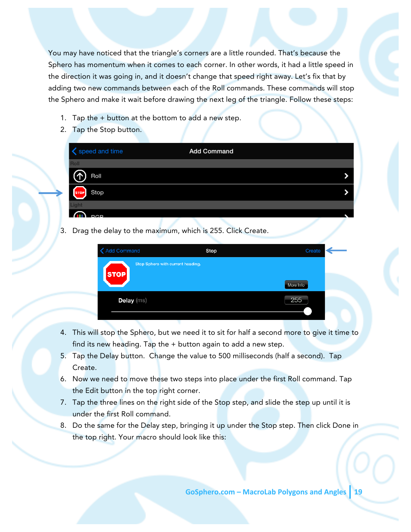You may have noticed that the triangle's corners are a little rounded. That's because the Sphero has momentum when it comes to each corner. In other words, it had a little speed in the direction it was going in, and it doesn't change that speed right away. Let's fix that by adding two new commands between each of the Roll commands. These commands will stop the Sphero and make it wait before drawing the next leg of the triangle. Follow these steps:

- 1. Tap the  $+$  button at the bottom to add a new step.
- 2. Tap the Stop button.

| Speed and time           | <b>Add Command</b> |  |
|--------------------------|--------------------|--|
| Roll                     |                    |  |
| $\odot$<br>Roll          |                    |  |
| STOP <sup></sup><br>Stop |                    |  |
| Light                    |                    |  |
| <b>D<sub>C</sub>D</b>    |                    |  |

3. Drag the delay to the maximum, which is 255. Click Create.

| <b>Add Command</b>                               | Stop | Create    |
|--------------------------------------------------|------|-----------|
| Stop Sphero with current heading.<br><b>STOP</b> |      |           |
|                                                  |      | More Info |
| Delay (ms)                                       |      | 255       |
|                                                  |      |           |

- 4. This will stop the Sphero, but we need it to sit for half a second more to give it time to find its new heading. Tap the + button again to add a new step.
- 5. Tap the Delay button. Change the value to 500 milliseconds (half a second). Tap Create.
- 6. Now we need to move these two steps into place under the first Roll command. Tap the Edit button in the top right corner.
- 7. Tap the three lines on the right side of the Stop step, and slide the step up until it is under the first Roll command.
- 8. Do the same for the Delay step, bringing it up under the Stop step. Then click Done in the top right. Your macro should look like this: